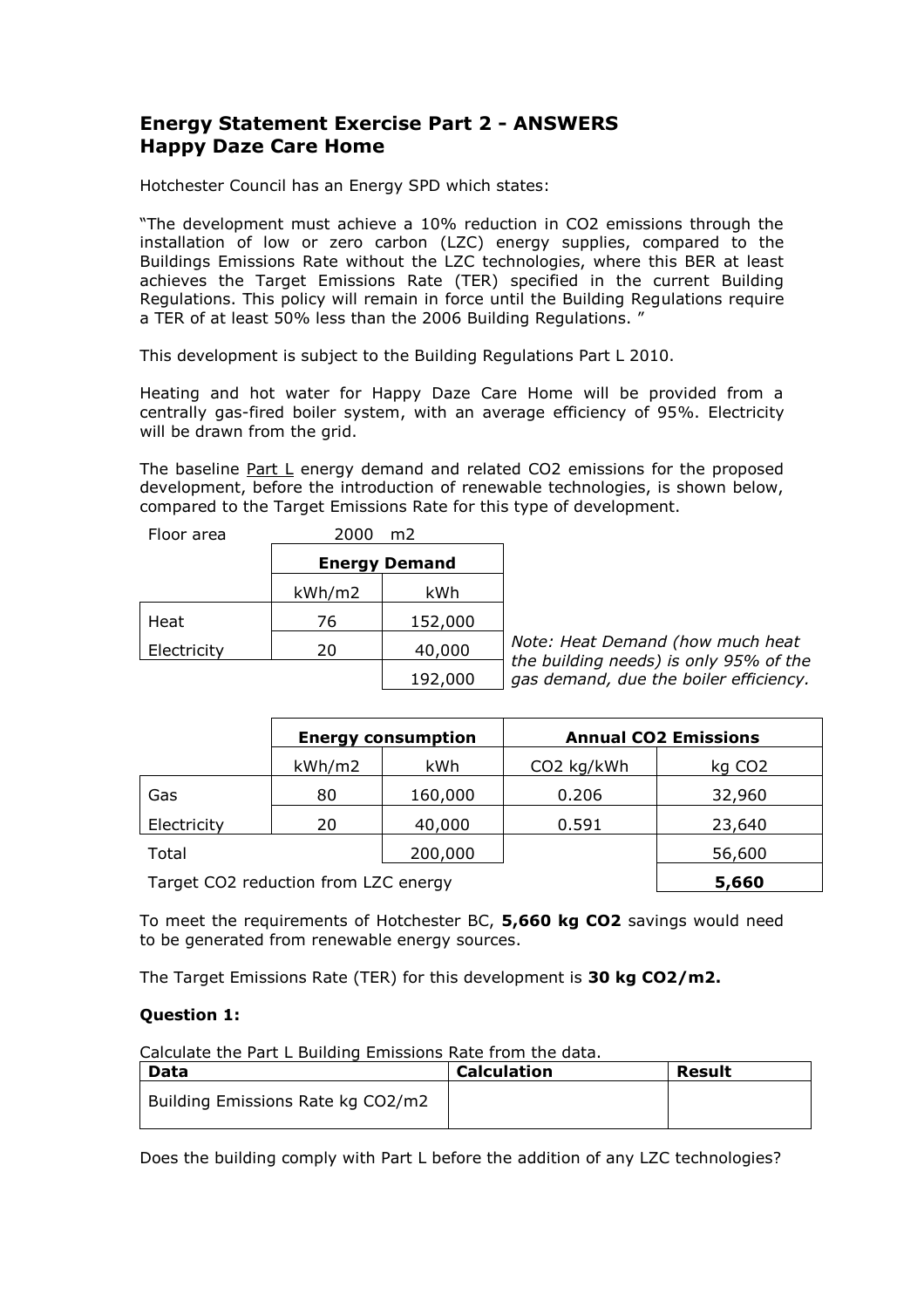## **Energy Statement Exercise Part 2 - ANSWERS Happy Daze Care Home**

Hotchester Council has an Energy SPD which states:

"The development must achieve a 10% reduction in CO2 emissions through the installation of low or zero carbon (LZC) energy supplies, compared to the Buildings Emissions Rate without the LZC technologies, where this BER at least achieves the Target Emissions Rate (TER) specified in the current Building Regulations. This policy will remain in force until the Building Regulations require a TER of at least 50% less than the 2006 Building Regulations. "

This development is subject to the Building Regulations Part L 2010.

Heating and hot water for Happy Daze Care Home will be provided from a centrally gas-fired boiler system, with an average efficiency of 95%. Electricity will be drawn from the grid.

The baseline Part L energy demand and related CO2 emissions for the proposed development, before the introduction of renewable technologies, is shown below, compared to the Target Emissions Rate for this type of development.

| Floor area  | 2000   | m <sub>2</sub>       |
|-------------|--------|----------------------|
|             |        | <b>Energy Demand</b> |
|             | kWh/m2 | kWh                  |
| Heat        | 76     | 152,000              |
| Electricity | 20     | 40,000               |
|             |        | 192.000              |

*Note: Heat Demand (how much heat the building needs) is only 95% of the gas demand, due the boiler efficiency.* 192,000

|                                                              |        | <b>Energy consumption</b> | <b>Annual CO2 Emissions</b> |                    |  |
|--------------------------------------------------------------|--------|---------------------------|-----------------------------|--------------------|--|
|                                                              | kWh/m2 | kWh                       | CO2 kg/kWh                  | kg CO <sub>2</sub> |  |
| Gas                                                          | 80     | 160,000                   | 0.206                       | 32,960             |  |
| Electricity                                                  | 20     | 40,000                    | 0.591                       | 23,640             |  |
| Total                                                        |        | 200,000                   |                             | 56,600             |  |
| Target CO <sub>2</sub> reduction from L <sub>7C</sub> energy |        |                           |                             | 5 660              |  |

Target CO2 reduction from LZC energy **5,660**

To meet the requirements of Hotchester BC, **5,660 kg CO2** savings would need to be generated from renewable energy sources.

The Target Emissions Rate (TER) for this development is **30 kg CO2/m2.**

#### **Question 1:**

Calculate the Part L Building Emissions Rate from the data.

| Data                              | <b>Calculation</b> | Result |
|-----------------------------------|--------------------|--------|
| Building Emissions Rate kg CO2/m2 |                    |        |

Does the building comply with Part L before the addition of any LZC technologies?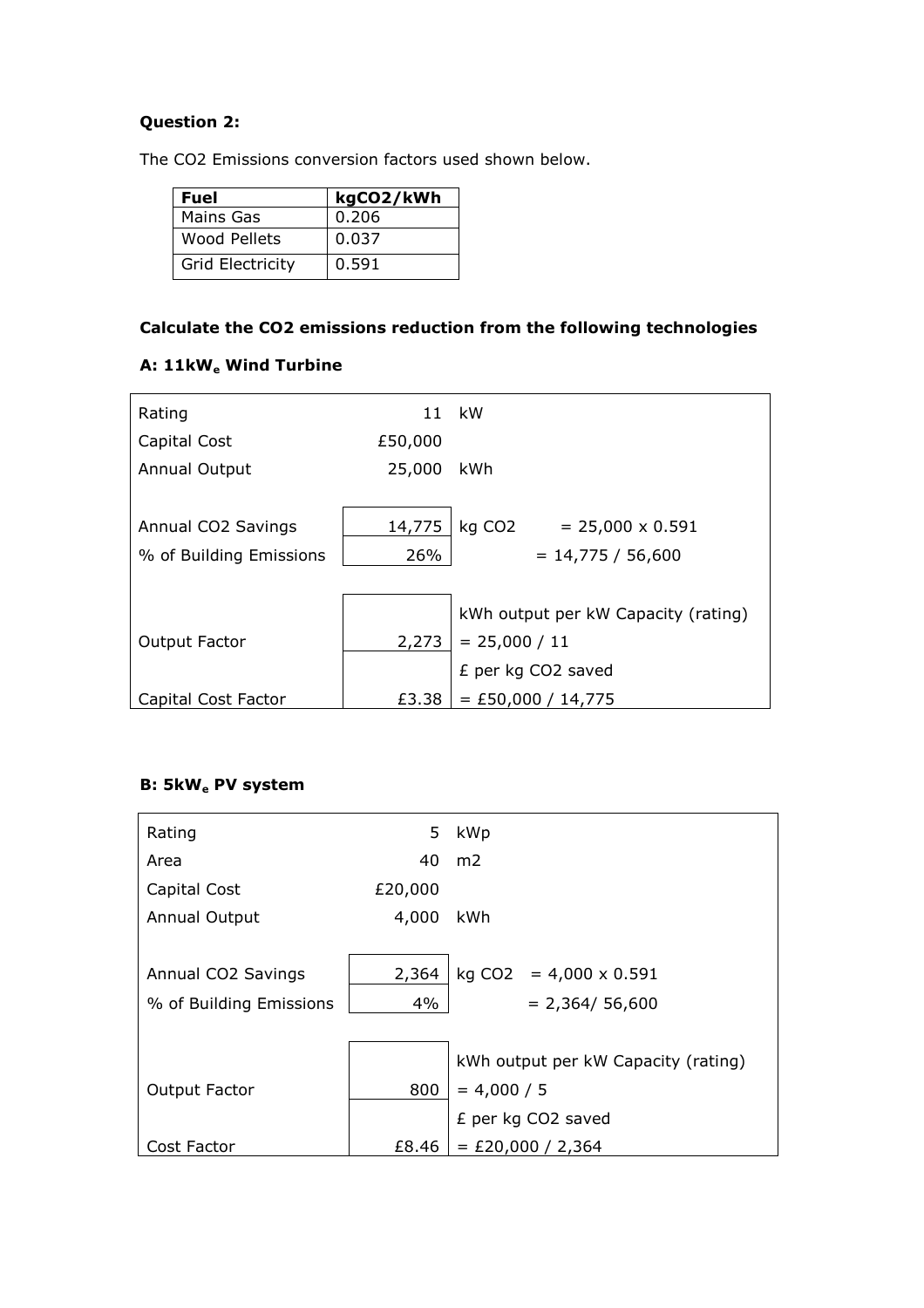## **Question 2:**

The CO2 Emissions conversion factors used shown below.

| <b>Fuel</b>             | kgCO2/kWh |
|-------------------------|-----------|
| Mains Gas               | 0.206     |
| Wood Pellets            | 0.037     |
| <b>Grid Electricity</b> | 0.591     |

## **Calculate the CO2 emissions reduction from the following technologies**

| Rating                  |         | 11 kW                               |  |  |
|-------------------------|---------|-------------------------------------|--|--|
| Capital Cost            | £50,000 |                                     |  |  |
| <b>Annual Output</b>    | 25,000  | kWh                                 |  |  |
|                         |         |                                     |  |  |
| Annual CO2 Savings      | 14,775  | $kg CO2 = 25,000 \times 0.591$      |  |  |
| % of Building Emissions | 26%     | $= 14,775 / 56,600$                 |  |  |
|                         |         |                                     |  |  |
|                         |         | kWh output per kW Capacity (rating) |  |  |
| Output Factor           | 2,273   | $= 25,000 / 11$                     |  |  |
|                         |         | £ per kg CO2 saved                  |  |  |
| Capital Cost Factor     | £3.38   | $=$ £50,000 / 14,775                |  |  |

### **A: 11kW<sup>e</sup> Wind Turbine**

## **B: 5kW<sup>e</sup> PV system**

| Rating                  | 5.      | kWp                                 |  |  |
|-------------------------|---------|-------------------------------------|--|--|
| Area                    | 40      | m <sub>2</sub>                      |  |  |
| Capital Cost            | £20,000 |                                     |  |  |
| <b>Annual Output</b>    | 4,000   | kWh                                 |  |  |
|                         |         |                                     |  |  |
| Annual CO2 Savings      | 2,364   | $kg CO2 = 4,000 \times 0.591$       |  |  |
| % of Building Emissions | 4%      | $= 2,364/ 56,600$                   |  |  |
|                         |         |                                     |  |  |
|                         |         | kWh output per kW Capacity (rating) |  |  |
| Output Factor           | 800     | $= 4,000 / 5$                       |  |  |
|                         |         | £ per kg CO2 saved                  |  |  |
| Cost Factor             | £8.46   | $=$ £20,000 / 2,364                 |  |  |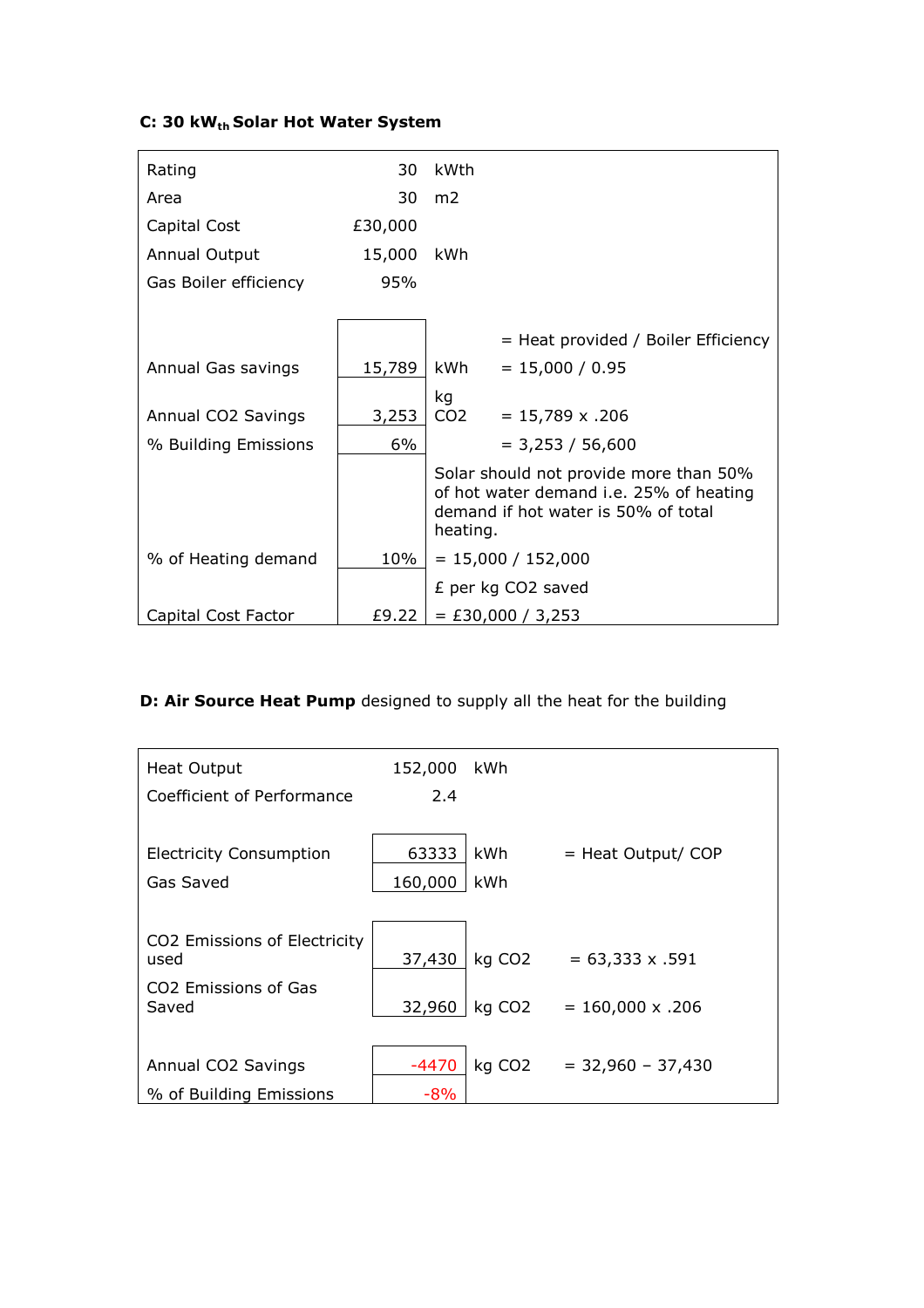# **C: 30 kWth Solar Hot Water System**

| Rating                | 30      | kWth                                                                                                                                 |
|-----------------------|---------|--------------------------------------------------------------------------------------------------------------------------------------|
| Area                  | 30      | m <sub>2</sub>                                                                                                                       |
| Capital Cost          | £30,000 |                                                                                                                                      |
| Annual Output         | 15,000  | kWh                                                                                                                                  |
| Gas Boiler efficiency | 95%     |                                                                                                                                      |
|                       |         |                                                                                                                                      |
|                       |         | = Heat provided / Boiler Efficiency                                                                                                  |
| Annual Gas savings    | 15,789  | kWh<br>$= 15,000 / 0.95$                                                                                                             |
|                       |         | kg                                                                                                                                   |
| Annual CO2 Savings    | 3,253   | CO <sub>2</sub><br>$= 15,789 \times .206$                                                                                            |
| % Building Emissions  | 6%      | $= 3,253 / 56,600$                                                                                                                   |
|                       |         | Solar should not provide more than 50%<br>of hot water demand i.e. 25% of heating<br>demand if hot water is 50% of total<br>heating. |
| % of Heating demand   | 10%     | $= 15,000 / 152,000$                                                                                                                 |
|                       |         | £ per kg CO2 saved                                                                                                                   |
| Capital Cost Factor   | £9.22   | $=$ £30,000 / 3,253                                                                                                                  |

# **D: Air Source Heat Pump** designed to supply all the heat for the building

| <b>Heat Output</b>                        | 152,000 | kWh                |                         |
|-------------------------------------------|---------|--------------------|-------------------------|
| Coefficient of Performance                | 2.4     |                    |                         |
|                                           |         |                    |                         |
| <b>Electricity Consumption</b>            | 63333   | kWh                | $=$ Heat Output/ COP    |
| Gas Saved                                 | 160,000 | kWh                |                         |
|                                           |         |                    |                         |
| CO2 Emissions of Electricity<br>used      | 37,430  | kg CO <sub>2</sub> | $= 63,333 \times .591$  |
| CO <sub>2</sub> Emissions of Gas<br>Saved | 32,960  | kg CO <sub>2</sub> | $= 160,000 \times .206$ |
|                                           |         |                    |                         |
| Annual CO2 Savings                        | $-4470$ | kg CO <sub>2</sub> | $=$ 32,960 - 37,430     |
| % of Building Emissions                   | $-8%$   |                    |                         |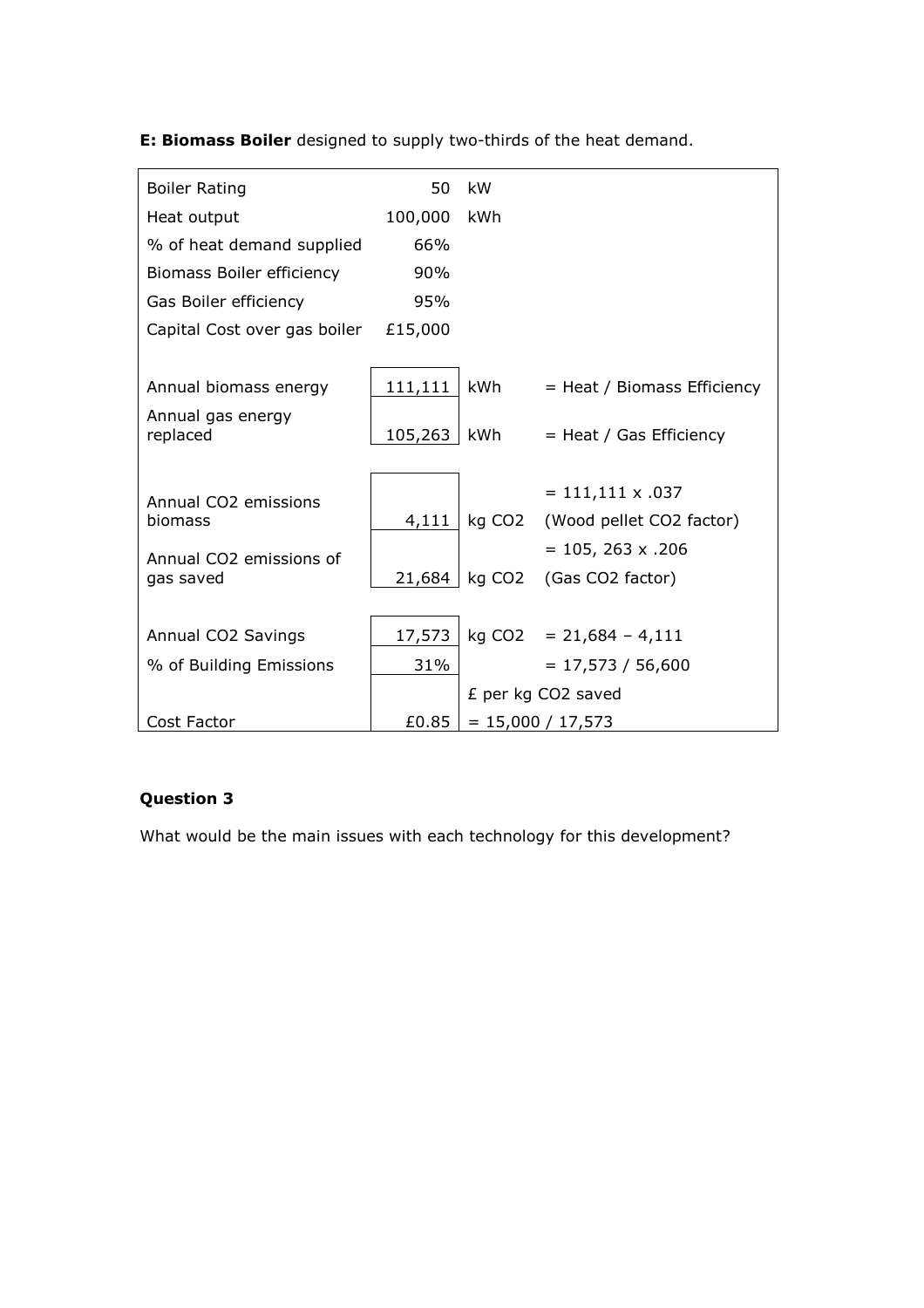**E: Biomass Boiler** designed to supply two-thirds of the heat demand.

| <b>Boiler Rating</b>                 | 50      | kW     |                             |
|--------------------------------------|---------|--------|-----------------------------|
| Heat output                          | 100,000 | kWh    |                             |
| % of heat demand supplied            | 66%     |        |                             |
| Biomass Boiler efficiency            | 90%     |        |                             |
| Gas Boiler efficiency                | 95%     |        |                             |
| Capital Cost over gas boiler £15,000 |         |        |                             |
|                                      |         |        |                             |
| Annual biomass energy                | 111,111 | kWh    | = Heat / Biomass Efficiency |
| Annual gas energy<br>replaced        | 105,263 | kWh    | $=$ Heat / Gas Efficiency   |
|                                      |         |        | $= 111,111 \times .037$     |
| Annual CO2 emissions<br>biomass      | 4,111   | kg CO2 | (Wood pellet CO2 factor)    |
| Annual CO2 emissions of              |         |        | $= 105, 263 \times .206$    |
| gas saved                            | 21,684  | kg CO2 | (Gas CO2 factor)            |
|                                      |         |        |                             |
| Annual CO2 Savings                   | 17,573  |        | $kg CO2 = 21,684 - 4,111$   |
| % of Building Emissions              | 31%     |        | $= 17,573 / 56,600$         |
|                                      |         |        | £ per kg CO2 saved          |
| Cost Factor                          | £0.85   |        | $= 15,000 / 17,573$         |

## **Question 3**

What would be the main issues with each technology for this development?